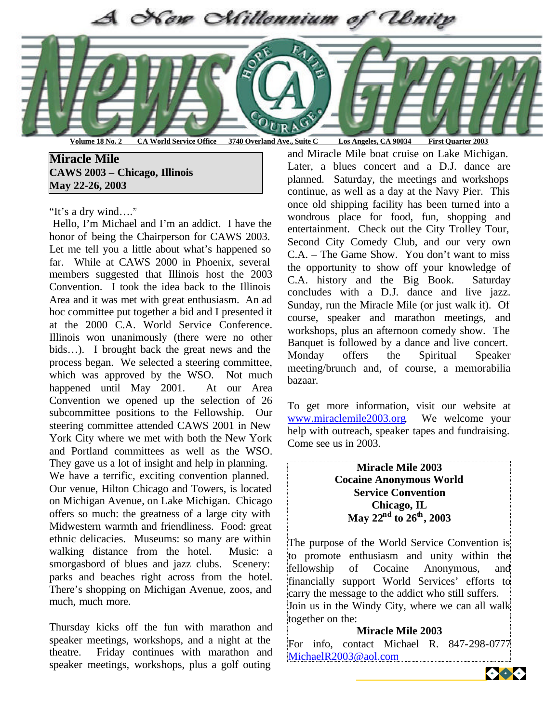

**Volume 18 No. 2 CA World Service Office 3740 Overland Ave., Suite C Los Angeles, CA 90034 First Quarter 2003**

- **May 22-26, 2003 Miracle Mile CAWS 2003 – Chicago, Illinois**

"It's a dry wind…."

 Hello, I'm Michael and I'm an addict. I have the honor of being the Chairperson for CAWS 2003. Let me tell you a little about what's happened so far. While at CAWS 2000 in Phoenix, several members suggested that Illinois host the 2003 Convention. I took the idea back to the Illinois Area and it was met with great enthusiasm. An ad hoc committee put together a bid and I presented it at the 2000 C.A. World Service Conference. Illinois won unanimously (there were no other bids…). I brought back the great news and the process began. We selected a steering committee, which was approved by the WSO. Not much happened until May 2001. At our Area Convention we opened up the selection of 26 subcommittee positions to the Fellowship. Our steering committee attended CAWS 2001 in New York City where we met with both the New York and Portland committees as well as the WSO. They gave us a lot of insight and help in planning.

We have a terrific, exciting convention planned. Our venue, Hilton Chicago and Towers, is located on Michigan Avenue, on Lake Michigan. Chicago offers so much: the greatness of a large city with Midwestern warmth and friendliness. Food: great ethnic delicacies. Museums: so many are within walking distance from the hotel. Music: a smorgasbord of blues and jazz clubs. Scenery: parks and beaches right across from the hotel. There's shopping on Michigan Avenue, zoos, and much, much more.

Thursday kicks off the fun with marathon and speaker meetings, workshops, and a night at the theatre. Friday continues with marathon and speaker meetings, workshops, plus a golf outing

and Miracle Mile boat cruise on Lake Michigan. Later, a blues concert and a D.J. dance are planned. Saturday, the meetings and workshops continue, as well as a day at the Navy Pier. This once old shipping facility has been turned into a wondrous place for food, fun, shopping and entertainment. Check out the City Trolley Tour, Second City Comedy Club, and our very own C.A. – The Game Show. You don't want to miss the opportunity to show off your knowledge of C.A. history and the Big Book. Saturday concludes with a D.J. dance and live jazz. Sunday, run the Miracle Mile (or just walk it). Of course, speaker and marathon meetings, and workshops, plus an afternoon comedy show. The Banquet is followed by a dance and live concert. Monday offers the Spiritual Speaker meeting/brunch and, of course, a memorabilia bazaar.

To get more information, visit our website at www.miraclemile2003.org. We welcome your help with outreach, speaker tapes and fundraising. Come see us in 2003.

> **Miracle Mile 2003 Cocaine Anonymous World Service Convention Chicago, IL May 22nd to 26th, 2003**

The purpose of the World Service Convention is to promote enthusiasm and unity within the fellowship of Cocaine Anonymous, and financially support World Services' efforts to carry the message to the addict who still suffers. Join us in the Windy City, where we can all walk together on the:

#### **Miracle Mile 2003**

For info, contact Michael R. 847-298-0777 MichaelR2003@aol.com

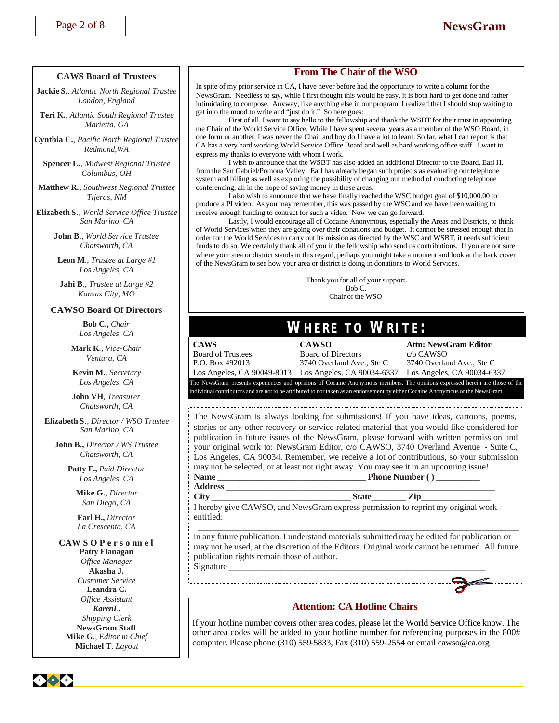#### **CAWS Board of Trustees**

**Jackie S.**, *Atlantic North Regional Trustee London, England*

**Teri K.**, *Atlantic South Regional Trustee Marietta, GA*

**Cynthia C.**, *Pacific North Regional Trustee Redmond,WA*

**Spencer L.**, *Midwest Regional Trustee Columbus, OH*

**Matthew R.**, *Southwest Regional Trustee Tijeras, NM*

**Elizabeth S***., World Service Office Trustee San Marino, CA*

> **John B**., *World Service Trustee Chatsworth, CA*

**Leon M**., *Trustee at Large #1 Los Angeles, CA*

**Jahi B**., *Trustee at Large #2 Kansas City, MO*

#### **CAWSO Board Of Directors**

**Bob C.,** *Chair Los Angeles, CA*

**Mark K***., Vice-Chair Ventura, CA*

**Kevin M.**, *Secretary Los Angeles, CA*

**John VH***, Treasurer Chatsworth, CA*

**Elizabeth S***., Director / WSO Trustee San Marino, CA*

**John B.,** *Director / WS Trustee Chatsworth, CA*

> **Patty F.,** *Paid Director Los Angeles, CA*

**Mike G.,** *Director San Diego, CA*

**Earl H.,** *Director La Crescenta, CA*

#### **CAW S O P e r s o nn e l**

**Patty Flanagan** *Office Manager* **Akasha J.** *Customer Service* **Leandra C.** *Office Assistant KarenL. Shipping Clerk* **NewsGram Staff Mike G***., Editor in Chief* **Michael T***. Layout*

#### **From The Chair of the WSO**

In spite of my prior service in CA, I have never before had the opportunity to write a column for the NewsGram. Needless to say, while I first thought this would be easy, it is both hard to get done and rather intimidating to compose. Anyway, like anything else in our program, I realized that I should stop waiting to get into the mood to write and "just do it." So here goes:

First of all, I want to say hello to the fellowship and thank the WSBT for their trust in appointing me Chair of the World Service Office. While I have spent several years as a member of the WSO Board, in one form or another, I was never the Chair and boy do I have a lot to learn. So far, what I can report is that CA has a very hard working World Service Office Board and well as hard working office staff. I want to express my thanks to everyone with whom I work.

I wish to announce that the WSBT has also added an additional Director to the Board, Earl H. from the San Gabriel/Pomona Valley. Earl has already began such projects as evaluating our telephone system and billing as well as exploring the possibility of changing our method of conducting telephone conferencing, all in the hope of saving money in these areas.

I also wish to announce that we have finally reached the WSC budget goal of \$10,000.00 to produce a PI video. As you may remember, this was passed by the WSC and we have been waiting to receive enough funding to contract for such a video. Now we can go forward.

Lastly, I would encourage all of Cocaine Anonymous, especially the Areas and Districts, to think of World Services when they are going over their donations and budget. It cannot be stressed enough that in order for the World Services to carry out its mission as directed by the WSC and WSBT, it needs sufficient funds to do so. We certainly thank all of you in the fellowship who send us contributions. If you are not sure where your area or district stands in this regard, perhaps you might take a moment and look at the back cover of the NewsGram to see how your area or district is doing in donations to World Services.

> Thank you for all of your support. Bob C. Chair of the WSO

## **WHERE TO WRITE:**

**CAWS CAWSO Attn: NewsGram Editor** Board of Trustees Board of Directors c/o CAWSO P.O. Box 492013 3740 Overland Ave., Ste C 3740 Overland Ave., Ste C

Los Angeles, CA 90049-8013 Los Angeles, CA 90034-6337 Los Angeles, CA 90034-6337

The NewsGram presents experiences and opinions of Cocaine Anonymous members. The opinions expressed herein are those of the individual contributors and are not to be attributed to nor taken as an endorsement by either Cocaine Anonymous or the NewsGram

The NewsGram is always looking for submissions! If you have ideas, cartoons, poems, stories or any other recovery or service related material that you would like considered for publication in future issues of the NewsGram, please forward with written permission and your original work to: NewsGram Editor, c/o CAWSO, 3740 Overland Avenue - Suite C, Los Angeles, CA 90034. Remember, we receive a lot of contributions, so your submission may not be selected, or at least not right away. You may see it in an upcoming issue! **Name \_\_\_\_\_\_\_\_\_\_\_\_\_\_\_\_\_\_\_\_\_\_\_\_\_\_\_\_\_\_\_\_\_\_ Phone Number ( ) \_\_\_\_\_\_\_\_\_\_**

#### **Address \_\_\_\_\_\_\_\_\_\_\_\_\_\_\_\_\_\_\_\_\_\_\_\_\_\_\_\_\_\_\_\_\_\_\_\_\_\_\_\_\_\_\_\_\_\_\_\_\_\_\_\_\_\_\_\_\_\_\_\_\_\_**

**City \_\_\_\_\_\_\_\_\_\_\_\_\_\_\_\_\_\_\_\_\_\_\_\_\_\_\_\_\_\_\_\_ State\_\_\_\_\_\_\_\_ Zip\_\_\_\_\_\_\_\_\_\_\_\_\_\_\_\_** I hereby give CAWSO, and NewsGram express permission to reprint my original work entitled:

 \_\_\_\_\_\_\_\_\_\_\_\_\_\_\_\_\_\_\_\_\_\_\_\_\_\_\_\_\_\_\_\_\_\_\_\_\_\_\_\_\_\_\_\_\_\_\_\_\_\_\_\_\_\_\_\_\_\_\_\_\_\_\_\_\_\_\_\_\_\_\_\_\_\_ in any future publication. I understand materials submitted may be edited for publication or may not be used, at the discretion of the Editors. Original work cannot be returned. All future publication rights remain those of author. Signature

#### **Attention: CA Hotline Chairs**

If your hotline number covers other area codes, please let the World Service Office know. The other area codes will be added to your hotline number for referencing purposes in the 800# computer. Please phone (310) 559-5833, Fax (310) 559-2554 or email cawso@ca.org

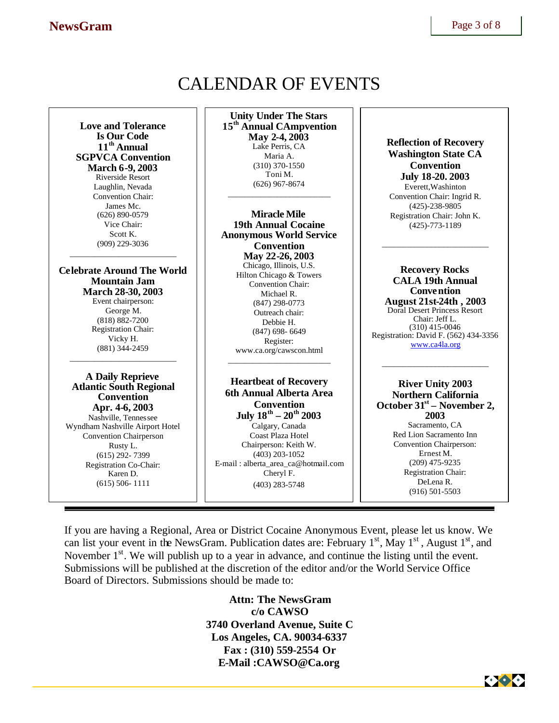# CALENDAR OF EVENTS

**Love and Tolerance Is Our Code 11th Annual SGPVCA Convention March 6-9, 2003** Riverside Resort Laughlin, Nevada Convention Chair: James Mc. (626) 890-0579 Vice Chair: Scott K. (909) 229-3036 \_\_\_\_\_\_\_\_\_\_\_\_\_\_\_\_\_\_\_\_\_\_\_\_\_\_

**Celebrate Around The World Mountain Jam March 28-30, 2003** Event chairperson: George M. (818) 882-7200 Registration Chair: Vicky H. (881) 344-2459

\_\_\_\_\_\_\_\_\_\_\_\_\_\_\_\_\_\_\_\_\_\_\_\_\_\_

**A Daily Reprieve Atlantic South Regional Convention Apr. 4-6, 2003** Nashville, Tennessee Wyndham Nashville Airport Hotel Convention Chairperson Rusty L. (615) 292- 7399 Registration Co-Chair: Karen D. (615) 506- 1111

**Unity Under The Stars 15th Annual CAmpvention May 2-4, 2003** Lake Perris, CA Maria A. (310) 370-1550 Toni M. (626) 967-8674

\_\_\_\_\_\_\_\_\_\_\_\_\_\_\_\_\_\_\_\_\_\_\_\_\_

**Miracle Mile 19th Annual Cocaine Anonymous World Service Convention May 22-26, 2003** Chicago, Illinois, U.S. Hilton Chicago & Towers Convention Chair: Michael R. (847) 298-0773 Outreach chair: Debbie H. (847) 698- 6649 Register: www.ca.org/cawscon.html \_\_\_\_\_\_\_\_\_\_\_\_\_\_\_\_\_\_\_\_\_\_\_\_\_

**Heartbeat of Recovery 6th Annual Alberta Area Convention July 18th – 20th 2003** Calgary, Canada Coast Plaza Hotel Chairperson: Keith W. (403) 203-1052 E-mail : alberta\_area\_ca@hotmail.com Cheryl F. (403) 283-5748

**Reflection of Recovery Washington State CA Convention July 18-20. 2003** Everett,Washinton Convention Chair: Ingrid R. (425)-238-9805 Registration Chair: John K. (425)-773-1189

\_\_\_\_\_\_\_\_\_\_\_\_\_\_\_\_\_\_\_\_\_\_\_\_\_\_

**Recovery Rocks CALA 19th Annual Convention August 21st-24th , 2003** Doral Desert Princess Resort Chair: Jeff L. (310) 415-0046 Registration: David F. (562) 434-3356 www.ca4la.org

\_\_\_\_\_\_\_\_\_\_\_\_\_\_\_\_\_\_\_\_\_\_\_\_\_\_

**River Unity 2003 Northern California October 31st – November 2, 2003** Sacramento, CA Red Lion Sacramento Inn Convention Chairperson: Ernest M. (209) 475-9235 Registration Chair: DeLena R. (916) 501-5503

If you are having a Regional, Area or District Cocaine Anonymous Event, please let us know. We can list your event in the NewsGram. Publication dates are: February  $1<sup>st</sup>$ , May  $1<sup>st</sup>$ , August  $1<sup>st</sup>$ , and November  $1<sup>st</sup>$ . We will publish up to a year in advance, and continue the listing until the event. Submissions will be published at the discretion of the editor and/or the World Service Office Board of Directors. Submissions should be made to:

> **Attn: The NewsGram c/o CAWSO 3740 Overland Avenue, Suite C Los Angeles, CA. 90034-6337 Fax : (310) 559-2554 Or E-Mail :CAWSO@Ca.org**

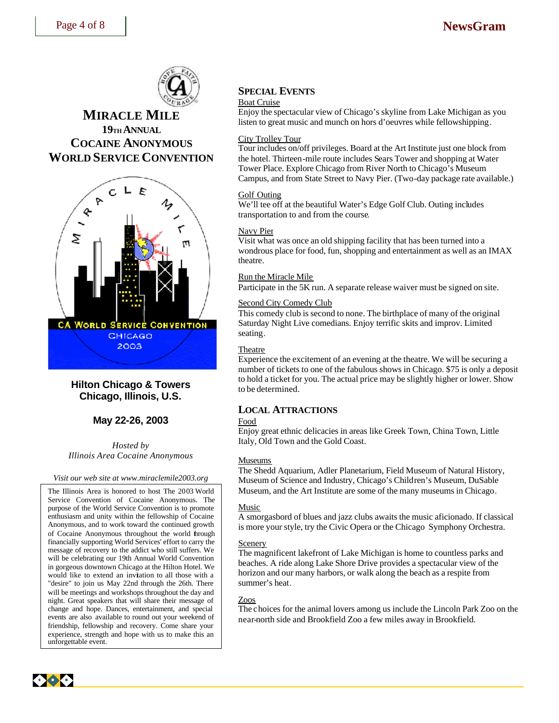

## **MIRACLE MILE 19TH ANNUAL COCAINE ANONYMOUS WORLD SERVICE CONVENTION**



### **Hilton Chicago & Towers Chicago, Illinois, U.S.**

### **May 22-26, 2003**

*Hosted by Illinois Area Cocaine Anonymous*

*Visit our web site at www.miraclemile2003.org*

The Illinois Area is honored to host The 2003 World Service Convention of Cocaine Anonymous. The purpose of the World Service Convention is to promote enthusiasm and unity within the fellowship of Cocaine Anonymous, and to work toward the continued growth of Cocaine Anonymous throughout the world through financially supporting World Services' effort to carry the message of recovery to the addict who still suffers. We will be celebrating our 19th Annual World Convention in gorgeous downtown Chicago at the Hilton Hotel. We would like to extend an invitation to all those with a "desire" to join us May 22nd through the 26th. There will be meetings and workshops throughout the day and night. Great speakers that will share their message of change and hope. Dances, entertainment, and special events are also available to round out your weekend of friendship, fellowship and recovery. Come share your experience, strength and hope with us to make this an unforgettable event.

## **SPECIAL EVENTS**

#### Boat Cruise

Enjoy the spectacular view of Chicago's skyline from Lake Michigan as you listen to great music and munch on hors d'oeuvres while fellowshipping.

#### City Trolley Tour

Tour includes on/off privileges. Board at the Art Institute just one block from the hotel. Thirteen-mile route includes Sears Tower and shopping at Water Tower Place. Explore Chicago from River North to Chicago's Museum Campus, and from State Street to Navy Pier. (Two-day package rate available.)

#### Golf Outing

We'll tee off at the beautiful Water's Edge Golf Club. Outing includes transportation to and from the course.

#### Navy Pier

Visit what was once an old shipping facility that has been turned into a wondrous place for food, fun, shopping and entertainment as well as an IMAX theatre.

#### Run the Miracle Mile

Participate in the 5K run. A separate release waiver must be signed on site.

#### Second City Comedy Club

This comedy club is second to none. The birthplace of many of the original Saturday Night Live comedians. Enjoy terrific skits and improv. Limited seating.

#### Theatre

Experience the excitement of an evening at the theatre. We will be securing a number of tickets to one of the fabulous shows in Chicago. \$75 is only a deposit to hold a ticket for you. The actual price may be slightly higher or lower. Show to be determined.

#### **LOCAL ATTRACTIONS**

#### Food

Enjoy great ethnic delicacies in areas like Greek Town, China Town, Little Italy, Old Town and the Gold Coast.

#### Museums

The Shedd Aquarium, Adler Planetarium, Field Museum of Natural History, Museum of Science and Industry, Chicago's Children's Museum, DuSable Museum, and the Art Institute are some of the many museums in Chicago.

#### Music

A smorgasbord of blues and jazz clubs awaits the music aficionado. If classical is more your style, try the Civic Opera or the Chicago Symphony Orchestra.

#### Scenery

The magnificent lakefront of Lake Michigan is home to countless parks and beaches. A ride along Lake Shore Drive provides a spectacular view of the horizon and our many harbors, or walk along the beach as a respite from summer's heat.

#### Zoos

The choices for the animal lovers among us include the Lincoln Park Zoo on the near-north side and Brookfield Zoo a few miles away in Brookfield.

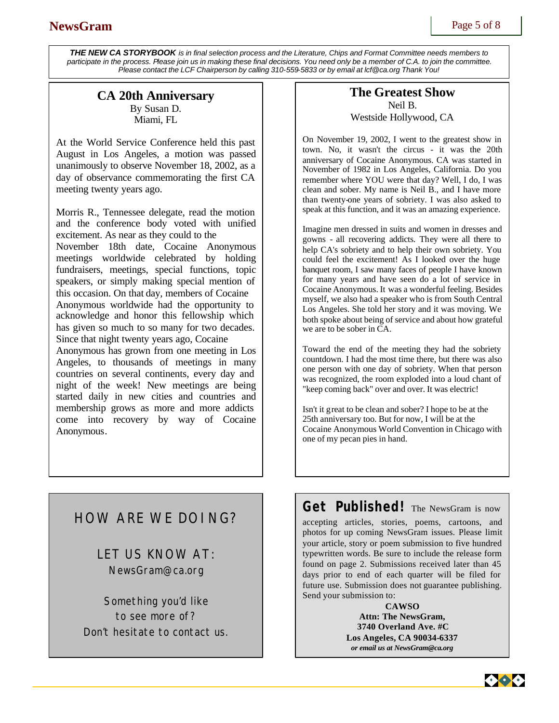*THE NEW CA STORYBOOK is in final selection process and the Literature, Chips and Format Committee needs members to participate in the process. Please join us in making these final decisions. You need only be a member of C.A. to join the committee. Please contact the LCF Chairperson by calling 310-559-5833 or by email at lcf@ca.org Thank You!*

## **CA 20th Anniversary** By Susan D.

Miami, FL

At the World Service Conference held this past August in Los Angeles, a motion was passed unanimously to observe November 18, 2002, as a day of observance commemorating the first CA meeting twenty years ago.

Morris R., Tennessee delegate, read the motion and the conference body voted with unified excitement. As near as they could to the November 18th date, Cocaine Anonymous meetings worldwide celebrated by holding fundraisers, meetings, special functions, topic speakers, or simply making special mention of this occasion. On that day, members of Cocaine Anonymous worldwide had the opportunity to acknowledge and honor this fellowship which has given so much to so many for two decades. Since that night twenty years ago, Cocaine Anonymous has grown from one meeting in Los Angeles, to thousands of meetings in many countries on several continents, every day and night of the week! New meetings are being started daily in new cities and countries and membership grows as more and more addicts come into recovery by way of Cocaine Anonymous.

## **The Greatest Show** Neil B. Westside Hollywood, CA

On November 19, 2002, I went to the greatest show in town. No, it wasn't the circus - it was the 20th anniversary of Cocaine Anonymous. CA was started in November of 1982 in Los Angeles, California. Do you remember where YOU were that day? Well, I do, I was clean and sober. My name is Neil B., and I have more than twenty-one years of sobriety. I was also asked to speak at this function, and it was an amazing experience.

Imagine men dressed in suits and women in dresses and gowns - all recovering addicts. They were all there to help CA's sobriety and to help their own sobriety. You could feel the excitement! As I looked over the huge banquet room, I saw many faces of people I have known for many years and have seen do a lot of service in Cocaine Anonymous. It was a wonderful feeling. Besides myself, we also had a speaker who is from South Central Los Angeles. She told her story and it was moving. We both spoke about being of service and about how grateful we are to be sober in CA.

Toward the end of the meeting they had the sobriety countdown. I had the most time there, but there was also one person with one day of sobriety. When that person was recognized, the room exploded into a loud chant of "keep coming back" over and over. It was electric!

Isn't it great to be clean and sober? I hope to be at the 25th anniversary too. But for now, I will be at the Cocaine Anonymous World Convention in Chicago with one of my pecan pies in hand.

## HOW ARE WE DOING?

LET US KNOW AT: NewsGram@ca.org

Something you'd like to see more of? Don't hesitate to contact us.

## **Get Published!** The NewsGram is now

accepting articles, stories, poems, cartoons, and photos for up coming NewsGram issues. Please limit your article, story or poem submission to five hundred typewritten words. Be sure to include the release form found on page 2. Submissions received later than 45 days prior to end of each quarter will be filed for future use. Submission does not guarantee publishing. Send your submission to:

> **CAWSO Attn: The NewsGram, 3740 Overland Ave. #C Los Angeles, CA 90034-6337**  *or email us at NewsGram@ca.org*

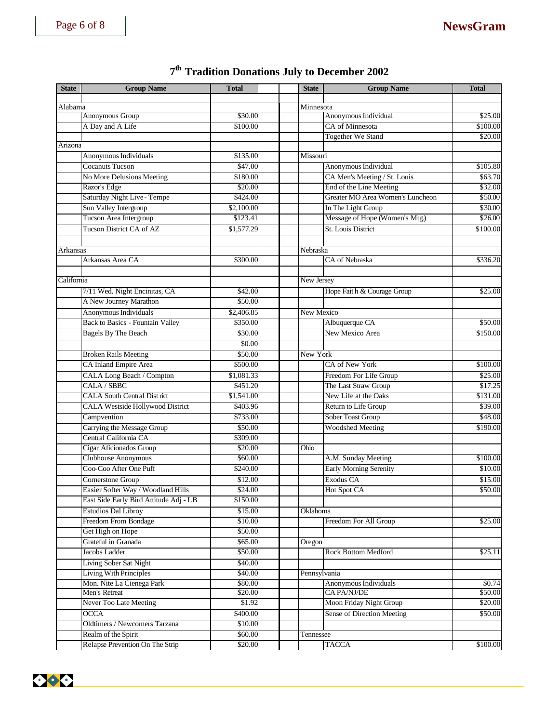## Page 6 of 8 **NewsGram**

#### **State Group Name Total Total State Group Name Total State Group Name Total** Alabama Minnesota<br>
Minnesota<br>
Anonymous Group S30.00 Archives Anonymous Group \$30.00 Anonymous Individual \$25.00 A Day and A Life \$100.00 <br>
\$100.00 CA of Minnesota \$100.00 Together We Stand \$20.00 Arizona Anonymous Individuals **\$135.00** Missouri Cocanuts Tucson **1990 Anonymous Individual 1991 Anonymous Individual 1991 S105.80** No More Delusions Meeting \$180.00 CA Men's Meeting / St. Louis \$63.70 Razor's Edge \$32.00 <br>\$20.00 End of the Line Meeting \$32.00 Saturday Night Live - Tempe  $$424.00$  Greater MO Area Women's Luncheon \$50.00 Sun Valley Intergroup \$2,100.00 In The Light Group \$30.00 Tucson Area Intergroup \$123.41 Message of Hope (Women's Mtg.) \$26.00 Tucson District CA of AZ  $$1,577.29$  St. Louis District \$100.00 Arkansas Nebraska Arkansas Area CA  $\parallel$  \$300.00 CA of Nebraska \$336.20 **California** New Jersey 7/11 Wed. Night Encinitas, CA  $\begin{array}{|c|c|c|c|c|c|} \hline \text{842.00} & \text{Hope Faith & \& Courage Group} \end{array}$  \$25.00 A New Journey Marathon \$50.00 Anonymous Individuals \$2,406.85 New Mexico Back to Basics - Fountain Valley  $$350.00$  Albuquerque CA  $$50.00$ Bagels By The Beach  $$30.00$  New Mexico Area \$150.00 \$0.00 Broken Rails Meeting \$50.00 New York CA Inland Empire Area  $$500.00$  CA of New York \$100.00 CALA Long Beach / Compton \$1,081.33 Freedom For Life Group \$25.00  $\text{CALA} / \text{SBBC}$   $$451.20$  The Last Straw Group  $$17.25$ CALA South Central District \$1,541.00 New Life at the Oaks \$131.00 CALA Westside Hollywood District  $\begin{array}{|c|c|c|c|c|c|} \hline \text{8403.96} & & \text{Return to Life Group} \end{array}$  \$39.00 Campvention **1** \$733.00 Sober Toast Group \$48.00 Carrying the Message Group \$50.00 \$50.00 Woodshed Meeting \$190.00 Central California CA \$309.00 Cigar Aficionados Group \$20.00 | Ohio Clubhouse Anonymous (560.00 A.M. Sunday Meeting \$100.00 Coo-Coo After One Puff \$240.00 Early Morning Serenity \$10.00 Cornerstone Group  $$12.00$  Exodus CA  $$15.00$ Easier Softer Way / Woodland Hills \$24.00 Hot Spot CA \$50.00 East Side Early Bird Attitude Adj - LB \$150.00 Estudios Dal Libroy \$15.00 Stahoma Freedom From Bondage \$10.00 Freedom For All Group \$25.00 Get High on Hope \$50.00 Grateful in Granada <br>
S65.00 Oregon Jacobs Ladder **\$25.11** 850.00 Rock Bottom Medford \$25.11 Living Sober Sat Night \$40.00 Living With Principles **\$40.00** Pennsylvania Mon. Nite La Cienega Park \$80.00 **Anonymous Individuals** \$0.74 Men's Retreat \$20.00 CA PA/NJ/DE \$50.00 Never Too Late Meeting \$1.92 Moon Friday Night Group \$20.00 OCCA \$400.00 Sense of Direction Meeting \$50.00 Oldtimers / Newcomers Tarzana \$10.00 Realm of the Spirit  $\$60.00$  Tennessee

Relapse Prevention On The Strip \$20.00 T TACCA \$100.00

## **7 th Tradition Donations July to December 2002**

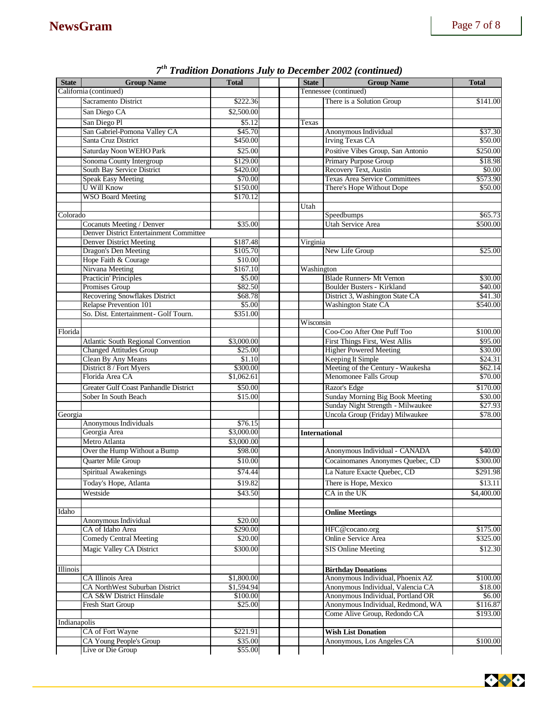| <b>State</b> | <b>Group Name</b>                                | <b>Total</b>      | <b>State</b>         | <b>Group Name</b>                                                    | <b>Total</b>        |
|--------------|--------------------------------------------------|-------------------|----------------------|----------------------------------------------------------------------|---------------------|
|              | California (continued)                           |                   |                      | Tennessee (continued)                                                |                     |
|              | Sacramento District                              | \$222.36          |                      | There is a Solution Group                                            | \$141.00            |
|              | San Diego CA                                     | \$2,500.00        |                      |                                                                      |                     |
|              | San Diego Pl                                     | \$5.12            | Texas                |                                                                      |                     |
|              | San Gabriel-Pomona Valley CA                     | \$45.70           |                      | Anonymous Individual                                                 | \$37.30             |
|              | Santa Cruz District                              | \$450.00          |                      | <b>Irving Texas CA</b>                                               | \$50.00             |
|              | Saturday Noon WEHO Park                          | \$25.00           |                      | Positive Vibes Group, San Antonio                                    | \$250.00            |
|              | Sonoma County Intergroup                         | \$129.00          |                      | Primary Purpose Group                                                | \$18.98             |
|              | South Bay Service District                       | \$420.00          |                      | Recovery Text, Austin                                                | \$0.00              |
|              | <b>Speak Easy Meeting</b>                        | \$70.00           |                      | <b>Texas Area Service Committees</b>                                 | \$573.90            |
|              | <b>U Will Know</b>                               | \$150.00          |                      | There's Hope Without Dope                                            | \$50.00             |
|              | <b>WSO Board Meeting</b>                         | \$170.12          |                      |                                                                      |                     |
|              |                                                  |                   | Utah                 |                                                                      |                     |
| Colorado     |                                                  |                   |                      | Speedbumps                                                           | \$65.73             |
|              | Cocanuts Meeting / Denver                        | \$35.00           |                      | Utah Service Area                                                    | \$500.00            |
|              | Denver District Entertainment Committee          |                   |                      |                                                                      |                     |
|              | <b>Denver District Meeting</b>                   | \$187.48          | Virginia             |                                                                      |                     |
|              | Dragon's Den Meeting                             | \$105.70          |                      | New Life Group                                                       | \$25.00             |
|              | Hope Faith & Courage                             | \$10.00           |                      |                                                                      |                     |
|              | Nirvana Meeting                                  | \$167.10          | Washington           |                                                                      |                     |
|              | <b>Practicin' Principles</b>                     | \$5.00            |                      | <b>Blade Runners- Mt Vernon</b>                                      | \$30.00             |
|              | Promises Group<br>Recovering Snowflakes District | \$82.50           |                      | <b>Boulder Busters - Kirkland</b><br>District 3, Washington State CA | \$40.00             |
|              | Relapse Prevention 101                           | \$68.78<br>\$5.00 |                      | <b>Washington State CA</b>                                           | \$41.30<br>\$540.00 |
|              | So. Dist. Entertainment - Golf Tourn.            | \$351.00          |                      |                                                                      |                     |
|              |                                                  |                   | Wisconsin            |                                                                      |                     |
| Florida      |                                                  |                   |                      | Coo-Coo After One Puff Too                                           | \$100.00            |
|              | Atlantic South Regional Convention               | \$3,000.00        |                      | First Things First, West Allis                                       | \$95.00             |
|              | <b>Changed Attitudes Group</b>                   | \$25.00           |                      | <b>Higher Powered Meeting</b>                                        | \$30.00             |
|              | Clean By Any Means                               | \$1.10            |                      | Keeping It Simple                                                    | \$24.31             |
|              | District 8 / Fort Myers                          | \$300.00          |                      | Meeting of the Century - Waukesha                                    | \$62.14             |
|              | Florida Area CA                                  | \$1,062.61        |                      | Menomonee Falls Group                                                | \$70.00             |
|              | Greater Gulf Coast Panhandle District            | \$50.00           |                      | Razor's Edge                                                         | \$170.00            |
|              | Sober In South Beach                             | \$15.00           |                      | Sunday Morning Big Book Meeting                                      | \$30.00             |
|              |                                                  |                   |                      | Sunday Night Strength - Milwaukee                                    | \$27.93             |
| Georgia      |                                                  |                   |                      | Uncola Group (Friday) Milwaukee                                      | \$78.00             |
|              | Anonymous Individuals                            | \$76.15           |                      |                                                                      |                     |
|              | Georgia Area                                     | \$3,000.00        | <b>International</b> |                                                                      |                     |
|              | Metro Atlanta                                    | \$3,000.00        |                      |                                                                      |                     |
|              | Over the Hump Without a Bump                     | \$98.00           |                      | Anonymous Individual - CANADA                                        | \$40.00             |
|              | Quarter Mile Group                               | \$10.00           |                      | Cocainomanes Anonymes Quebec, CD                                     | \$300.00            |
|              | Spiritual Awakenings                             | \$74.44           |                      | La Nature Exacte Quebec, CD                                          | \$291.98            |
|              | Today's Hope, Atlanta                            | \$19.82           |                      | There is Hope, Mexico                                                | \$13.11             |
|              | Westside                                         | \$43.50           |                      | CA in the UK                                                         | \$4,400.00          |
|              |                                                  |                   |                      |                                                                      |                     |
| Idaho        |                                                  |                   |                      | <b>Online Meetings</b>                                               |                     |
|              | Anonymous Individual                             | \$20.00           |                      |                                                                      |                     |
|              | CA of Idaho Area                                 | \$290.00          |                      | HFC@cocano.org                                                       | \$175.00            |
|              | <b>Comedy Central Meeting</b>                    | \$20.00           |                      | Online Service Area                                                  | \$325.00            |
|              | <b>Magic Valley CA District</b>                  | \$300.00          |                      | <b>SIS Online Meeting</b>                                            | \$12.30             |
| Illinois     |                                                  |                   |                      | <b>Birthday Donations</b>                                            |                     |
|              | CA Illinois Area                                 | \$1,800.00        |                      | Anonymous Individual, Phoenix AZ                                     | \$100.00            |
|              | CA NorthWest Suburban District                   | \$1,594.94        |                      | Anonymous Individual, Valencia CA                                    | \$18.00             |
|              | CA S&W District Hinsdale                         | \$100.00          |                      | Anonymous Individual, Portland OR                                    | \$6.00              |
|              | Fresh Start Group                                | \$25.00           |                      | Anonymous Individual, Redmond, WA                                    | \$116.87            |
|              |                                                  |                   |                      | Come Alive Group, Redondo CA                                         | \$193.00            |
| Indianapolis |                                                  |                   |                      |                                                                      |                     |
|              | CA of Fort Wayne                                 | \$221.91          |                      | <b>Wish List Donation</b>                                            |                     |
|              | CA Young People's Group                          | \$35.00           |                      | Anonymous, Los Angeles CA                                            | \$100.00            |
|              | Live or Die Group                                | \$55.00           |                      |                                                                      |                     |

*7 th Tradition Donations July to December 2002 (continued)*